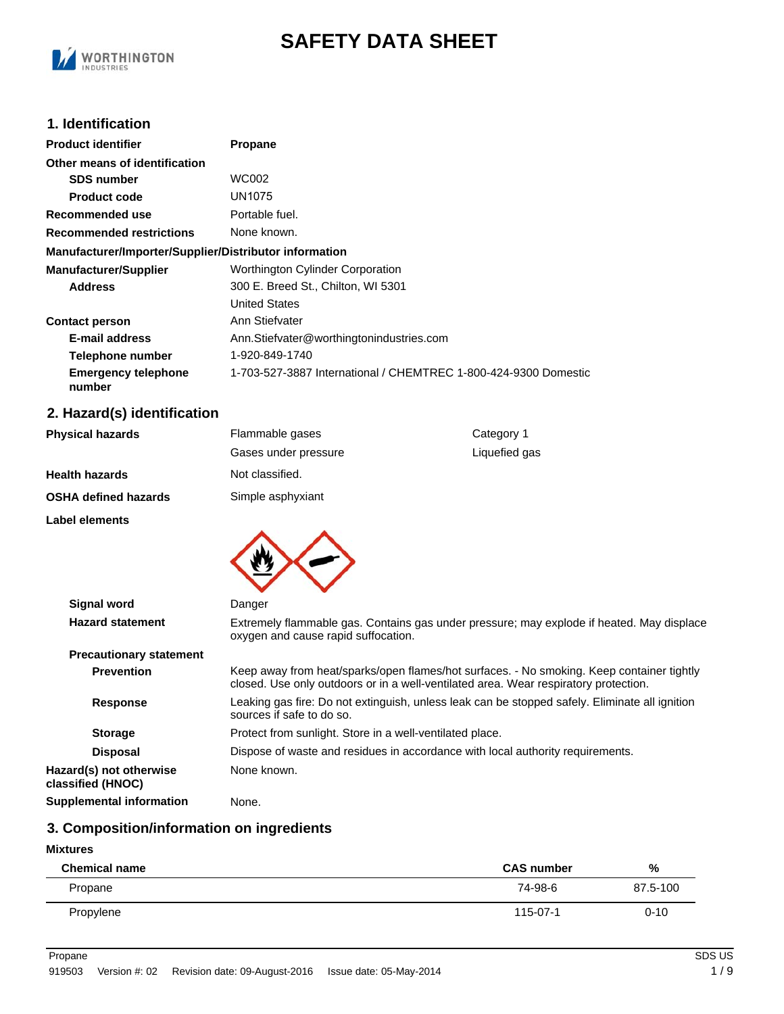

# **SAFETY DATA SHEET**

### **1. Identification**

| <b>Product identifier</b>                              | <b>Propane</b>                                                  |
|--------------------------------------------------------|-----------------------------------------------------------------|
| Other means of identification                          |                                                                 |
| <b>SDS number</b>                                      | WC002                                                           |
| <b>Product code</b>                                    | UN1075                                                          |
| Recommended use                                        | Portable fuel.                                                  |
| <b>Recommended restrictions</b>                        | None known.                                                     |
| Manufacturer/Importer/Supplier/Distributor information |                                                                 |
| <b>Manufacturer/Supplier</b>                           | Worthington Cylinder Corporation                                |
| <b>Address</b>                                         | 300 E. Breed St., Chilton, WI 5301                              |
|                                                        | <b>United States</b>                                            |
| <b>Contact person</b>                                  | Ann Stiefvater                                                  |
| E-mail address                                         | Ann.Stiefvater@worthingtonindustries.com                        |
| Telephone number                                       | 1-920-849-1740                                                  |
| <b>Emergency telephone</b><br>number                   | 1-703-527-3887 International / CHEMTREC 1-800-424-9300 Domestic |

# **2. Hazard(s) identification**

| <b>Physical hazards</b>                      | Flammable gases                                                                      | Category 1                                                                                     |
|----------------------------------------------|--------------------------------------------------------------------------------------|------------------------------------------------------------------------------------------------|
|                                              | Gases under pressure                                                                 | Liquefied gas                                                                                  |
| <b>Health hazards</b>                        | Not classified.                                                                      |                                                                                                |
| <b>OSHA defined hazards</b>                  | Simple asphyxiant                                                                    |                                                                                                |
| Label elements                               |                                                                                      |                                                                                                |
| Signal word                                  | Danger                                                                               |                                                                                                |
| <b>Hazard statement</b>                      | oxygen and cause rapid suffocation.                                                  | Extremely flammable gas. Contains gas under pressure; may explode if heated. May displace      |
| <b>Precautionary statement</b>               |                                                                                      |                                                                                                |
| <b>Prevention</b>                            | closed. Use only outdoors or in a well-ventilated area. Wear respiratory protection. | Keep away from heat/sparks/open flames/hot surfaces. - No smoking. Keep container tightly      |
| <b>Response</b>                              | sources if safe to do so.                                                            | Leaking gas fire: Do not extinguish, unless leak can be stopped safely. Eliminate all ignition |
| <b>Storage</b>                               | Protect from sunlight. Store in a well-ventilated place.                             |                                                                                                |
| <b>Disposal</b>                              | Dispose of waste and residues in accordance with local authority requirements.       |                                                                                                |
| Hazard(s) not otherwise<br>classified (HNOC) | None known.                                                                          |                                                                                                |

**Supplemental information** None.

# **3. Composition/information on ingredients**

#### **Mixtures**

| <b>Chemical name</b> | <b>CAS number</b> | %        |
|----------------------|-------------------|----------|
| Propane              | 74-98-6           | 87.5-100 |
| Propylene            | 115-07-1          | $0 - 10$ |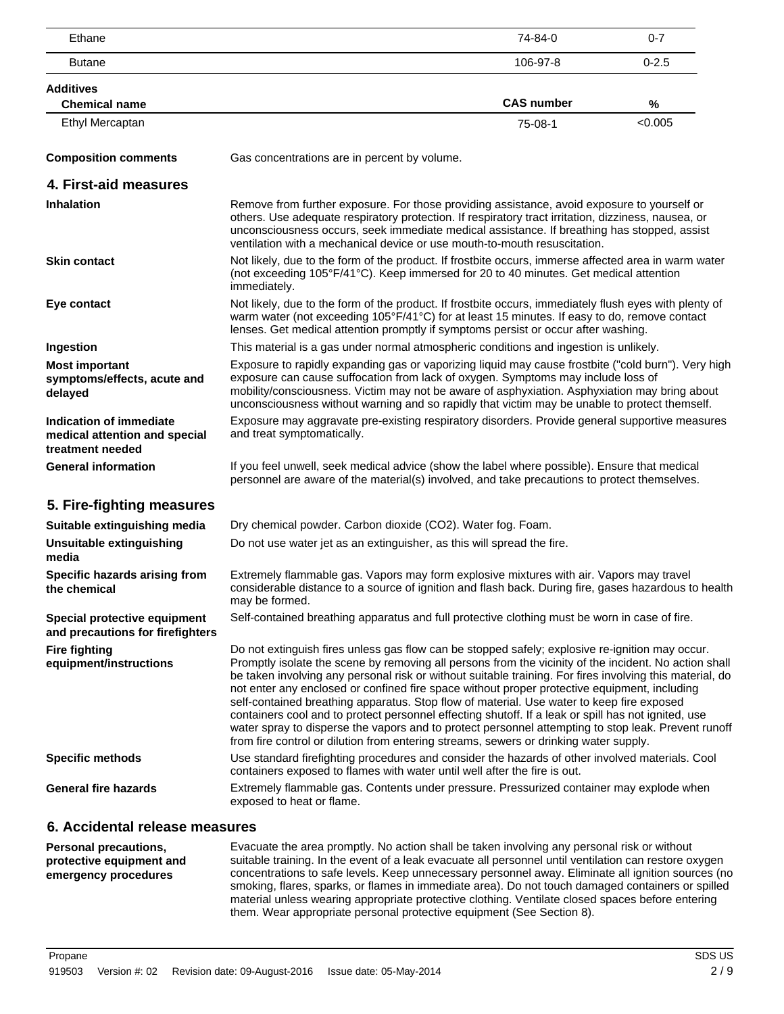| Ethane                                                                       |                                                                                                                                                                                                                                                                                                                                                                                                                                                                                                                                                                                                                                                                                                                                                                                                                          | 74-84-0           | $0 - 7$   |
|------------------------------------------------------------------------------|--------------------------------------------------------------------------------------------------------------------------------------------------------------------------------------------------------------------------------------------------------------------------------------------------------------------------------------------------------------------------------------------------------------------------------------------------------------------------------------------------------------------------------------------------------------------------------------------------------------------------------------------------------------------------------------------------------------------------------------------------------------------------------------------------------------------------|-------------------|-----------|
| <b>Butane</b>                                                                |                                                                                                                                                                                                                                                                                                                                                                                                                                                                                                                                                                                                                                                                                                                                                                                                                          | 106-97-8          | $0 - 2.5$ |
| <b>Additives</b>                                                             |                                                                                                                                                                                                                                                                                                                                                                                                                                                                                                                                                                                                                                                                                                                                                                                                                          |                   |           |
| <b>Chemical name</b>                                                         |                                                                                                                                                                                                                                                                                                                                                                                                                                                                                                                                                                                                                                                                                                                                                                                                                          | <b>CAS number</b> | %         |
| Ethyl Mercaptan                                                              |                                                                                                                                                                                                                                                                                                                                                                                                                                                                                                                                                                                                                                                                                                                                                                                                                          | $75-08-1$         | < 0.005   |
| <b>Composition comments</b>                                                  | Gas concentrations are in percent by volume.                                                                                                                                                                                                                                                                                                                                                                                                                                                                                                                                                                                                                                                                                                                                                                             |                   |           |
| 4. First-aid measures                                                        |                                                                                                                                                                                                                                                                                                                                                                                                                                                                                                                                                                                                                                                                                                                                                                                                                          |                   |           |
| <b>Inhalation</b>                                                            | Remove from further exposure. For those providing assistance, avoid exposure to yourself or<br>others. Use adequate respiratory protection. If respiratory tract irritation, dizziness, nausea, or<br>unconsciousness occurs, seek immediate medical assistance. If breathing has stopped, assist<br>ventilation with a mechanical device or use mouth-to-mouth resuscitation.                                                                                                                                                                                                                                                                                                                                                                                                                                           |                   |           |
| <b>Skin contact</b>                                                          | Not likely, due to the form of the product. If frostbite occurs, immerse affected area in warm water<br>(not exceeding 105°F/41°C). Keep immersed for 20 to 40 minutes. Get medical attention<br>immediately.                                                                                                                                                                                                                                                                                                                                                                                                                                                                                                                                                                                                            |                   |           |
| Eye contact                                                                  | Not likely, due to the form of the product. If frostbite occurs, immediately flush eyes with plenty of<br>warm water (not exceeding 105°F/41°C) for at least 15 minutes. If easy to do, remove contact<br>lenses. Get medical attention promptly if symptoms persist or occur after washing.                                                                                                                                                                                                                                                                                                                                                                                                                                                                                                                             |                   |           |
| Ingestion                                                                    | This material is a gas under normal atmospheric conditions and ingestion is unlikely.                                                                                                                                                                                                                                                                                                                                                                                                                                                                                                                                                                                                                                                                                                                                    |                   |           |
| <b>Most important</b><br>symptoms/effects, acute and<br>delayed              | Exposure to rapidly expanding gas or vaporizing liquid may cause frostbite ("cold burn"). Very high<br>exposure can cause suffocation from lack of oxygen. Symptoms may include loss of<br>mobility/consciousness. Victim may not be aware of asphyxiation. Asphyxiation may bring about<br>unconsciousness without warning and so rapidly that victim may be unable to protect themself.                                                                                                                                                                                                                                                                                                                                                                                                                                |                   |           |
| Indication of immediate<br>medical attention and special<br>treatment needed | Exposure may aggravate pre-existing respiratory disorders. Provide general supportive measures<br>and treat symptomatically.                                                                                                                                                                                                                                                                                                                                                                                                                                                                                                                                                                                                                                                                                             |                   |           |
| <b>General information</b>                                                   | If you feel unwell, seek medical advice (show the label where possible). Ensure that medical<br>personnel are aware of the material(s) involved, and take precautions to protect themselves.                                                                                                                                                                                                                                                                                                                                                                                                                                                                                                                                                                                                                             |                   |           |
| 5. Fire-fighting measures                                                    |                                                                                                                                                                                                                                                                                                                                                                                                                                                                                                                                                                                                                                                                                                                                                                                                                          |                   |           |
| Suitable extinguishing media                                                 | Dry chemical powder. Carbon dioxide (CO2). Water fog. Foam.                                                                                                                                                                                                                                                                                                                                                                                                                                                                                                                                                                                                                                                                                                                                                              |                   |           |
| Unsuitable extinguishing<br>media                                            | Do not use water jet as an extinguisher, as this will spread the fire.                                                                                                                                                                                                                                                                                                                                                                                                                                                                                                                                                                                                                                                                                                                                                   |                   |           |
| Specific hazards arising from<br>the chemical                                | Extremely flammable gas. Vapors may form explosive mixtures with air. Vapors may travel<br>considerable distance to a source of ignition and flash back. During fire, gases hazardous to health<br>may be formed.                                                                                                                                                                                                                                                                                                                                                                                                                                                                                                                                                                                                        |                   |           |
| Special protective equipment<br>and precautions for firefighters             | Self-contained breathing apparatus and full protective clothing must be worn in case of fire.                                                                                                                                                                                                                                                                                                                                                                                                                                                                                                                                                                                                                                                                                                                            |                   |           |
| <b>Fire fighting</b><br>equipment/instructions                               | Do not extinguish fires unless gas flow can be stopped safely; explosive re-ignition may occur.<br>Promptly isolate the scene by removing all persons from the vicinity of the incident. No action shall<br>be taken involving any personal risk or without suitable training. For fires involving this material, do<br>not enter any enclosed or confined fire space without proper protective equipment, including<br>self-contained breathing apparatus. Stop flow of material. Use water to keep fire exposed<br>containers cool and to protect personnel effecting shutoff. If a leak or spill has not ignited, use<br>water spray to disperse the vapors and to protect personnel attempting to stop leak. Prevent runoff<br>from fire control or dilution from entering streams, sewers or drinking water supply. |                   |           |
| <b>Specific methods</b>                                                      | Use standard firefighting procedures and consider the hazards of other involved materials. Cool<br>containers exposed to flames with water until well after the fire is out.                                                                                                                                                                                                                                                                                                                                                                                                                                                                                                                                                                                                                                             |                   |           |
| <b>General fire hazards</b>                                                  | Extremely flammable gas. Contents under pressure. Pressurized container may explode when<br>exposed to heat or flame.                                                                                                                                                                                                                                                                                                                                                                                                                                                                                                                                                                                                                                                                                                    |                   |           |
| 6. Accidental release measures                                               |                                                                                                                                                                                                                                                                                                                                                                                                                                                                                                                                                                                                                                                                                                                                                                                                                          |                   |           |
| Personal precautions,                                                        | Evacuate the area promptly. No action shall be taken involving any personal risk or without                                                                                                                                                                                                                                                                                                                                                                                                                                                                                                                                                                                                                                                                                                                              |                   |           |

suitable training. In the event of a leak evacuate all personnel until ventilation can restore oxygen concentrations to safe levels. Keep unnecessary personnel away. Eliminate all ignition sources (no smoking, flares, sparks, or flames in immediate area). Do not touch damaged containers or spilled material unless wearing appropriate protective clothing. Ventilate closed spaces before entering them. Wear appropriate personal protective equipment (See Section 8). **protective equipment and emergency procedures**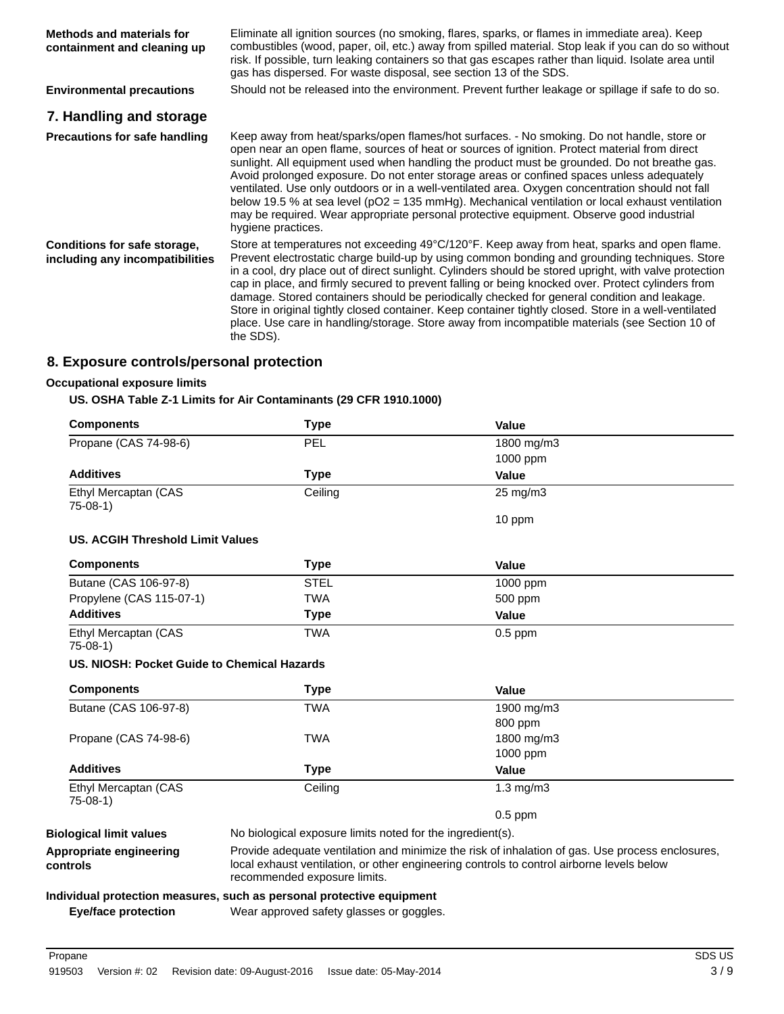| Methods and materials for<br>containment and cleaning up        | Eliminate all ignition sources (no smoking, flares, sparks, or flames in immediate area). Keep<br>combustibles (wood, paper, oil, etc.) away from spilled material. Stop leak if you can do so without<br>risk. If possible, turn leaking containers so that gas escapes rather than liquid. Isolate area until<br>gas has dispersed. For waste disposal, see section 13 of the SDS.                                                                                                                                                                                                                                                                                                                                               |
|-----------------------------------------------------------------|------------------------------------------------------------------------------------------------------------------------------------------------------------------------------------------------------------------------------------------------------------------------------------------------------------------------------------------------------------------------------------------------------------------------------------------------------------------------------------------------------------------------------------------------------------------------------------------------------------------------------------------------------------------------------------------------------------------------------------|
| <b>Environmental precautions</b>                                | Should not be released into the environment. Prevent further leakage or spillage if safe to do so.                                                                                                                                                                                                                                                                                                                                                                                                                                                                                                                                                                                                                                 |
| 7. Handling and storage                                         |                                                                                                                                                                                                                                                                                                                                                                                                                                                                                                                                                                                                                                                                                                                                    |
| <b>Precautions for safe handling</b>                            | Keep away from heat/sparks/open flames/hot surfaces. - No smoking. Do not handle, store or<br>open near an open flame, sources of heat or sources of ignition. Protect material from direct<br>sunlight. All equipment used when handling the product must be grounded. Do not breathe gas.<br>Avoid prolonged exposure. Do not enter storage areas or confined spaces unless adequately<br>ventilated. Use only outdoors or in a well-ventilated area. Oxygen concentration should not fall<br>below 19.5 % at sea level ( $pO2 = 135$ mmHg). Mechanical ventilation or local exhaust ventilation<br>may be required. Wear appropriate personal protective equipment. Observe good industrial<br>hygiene practices.               |
| Conditions for safe storage,<br>including any incompatibilities | Store at temperatures not exceeding 49°C/120°F. Keep away from heat, sparks and open flame.<br>Prevent electrostatic charge build-up by using common bonding and grounding techniques. Store<br>in a cool, dry place out of direct sunlight. Cylinders should be stored upright, with valve protection<br>cap in place, and firmly secured to prevent falling or being knocked over. Protect cylinders from<br>damage. Stored containers should be periodically checked for general condition and leakage.<br>Store in original tightly closed container. Keep container tightly closed. Store in a well-ventilated<br>place. Use care in handling/storage. Store away from incompatible materials (see Section 10 of<br>the SDS). |

# **8. Exposure controls/personal protection**

### **Occupational exposure limits**

**US. OSHA Table Z-1 Limits for Air Contaminants (29 CFR 1910.1000)**

| <b>Components</b>                           | <b>Type</b>                                                                                                                                                                                                                   | Value          |
|---------------------------------------------|-------------------------------------------------------------------------------------------------------------------------------------------------------------------------------------------------------------------------------|----------------|
| Propane (CAS 74-98-6)                       | PEL                                                                                                                                                                                                                           | 1800 mg/m3     |
|                                             |                                                                                                                                                                                                                               | 1000 ppm       |
| <b>Additives</b>                            | <b>Type</b>                                                                                                                                                                                                                   | Value          |
| Ethyl Mercaptan (CAS<br>$75-08-1)$          | Ceiling                                                                                                                                                                                                                       | 25 mg/m3       |
|                                             |                                                                                                                                                                                                                               | 10 ppm         |
| <b>US. ACGIH Threshold Limit Values</b>     |                                                                                                                                                                                                                               |                |
| <b>Components</b>                           | <b>Type</b>                                                                                                                                                                                                                   | Value          |
| Butane (CAS 106-97-8)                       | <b>STEL</b>                                                                                                                                                                                                                   | 1000 ppm       |
| Propylene (CAS 115-07-1)                    | <b>TWA</b>                                                                                                                                                                                                                    | 500 ppm        |
| <b>Additives</b>                            | <b>Type</b>                                                                                                                                                                                                                   | Value          |
| Ethyl Mercaptan (CAS<br>$75-08-1)$          | <b>TWA</b>                                                                                                                                                                                                                    | $0.5$ ppm      |
| US. NIOSH: Pocket Guide to Chemical Hazards |                                                                                                                                                                                                                               |                |
| <b>Components</b>                           | <b>Type</b>                                                                                                                                                                                                                   | <b>Value</b>   |
| Butane (CAS 106-97-8)                       | <b>TWA</b>                                                                                                                                                                                                                    | 1900 mg/m3     |
|                                             |                                                                                                                                                                                                                               | 800 ppm        |
| Propane (CAS 74-98-6)                       | <b>TWA</b>                                                                                                                                                                                                                    | 1800 mg/m3     |
|                                             |                                                                                                                                                                                                                               | 1000 ppm       |
| <b>Additives</b>                            | <b>Type</b>                                                                                                                                                                                                                   | Value          |
| Ethyl Mercaptan (CAS<br>$75-08-1)$          | Ceiling                                                                                                                                                                                                                       | $1.3$ mg/m $3$ |
|                                             |                                                                                                                                                                                                                               | $0.5$ ppm      |
| <b>Biological limit values</b>              | No biological exposure limits noted for the ingredient(s).                                                                                                                                                                    |                |
| Appropriate engineering<br>controls         | Provide adequate ventilation and minimize the risk of inhalation of gas. Use process enclosures,<br>local exhaust ventilation, or other engineering controls to control airborne levels below<br>recommended exposure limits. |                |
|                                             | Individual protection measures, such as personal protective equipment                                                                                                                                                         |                |
| <b>Eye/face protection</b>                  | Wear approved safety glasses or goggles.                                                                                                                                                                                      |                |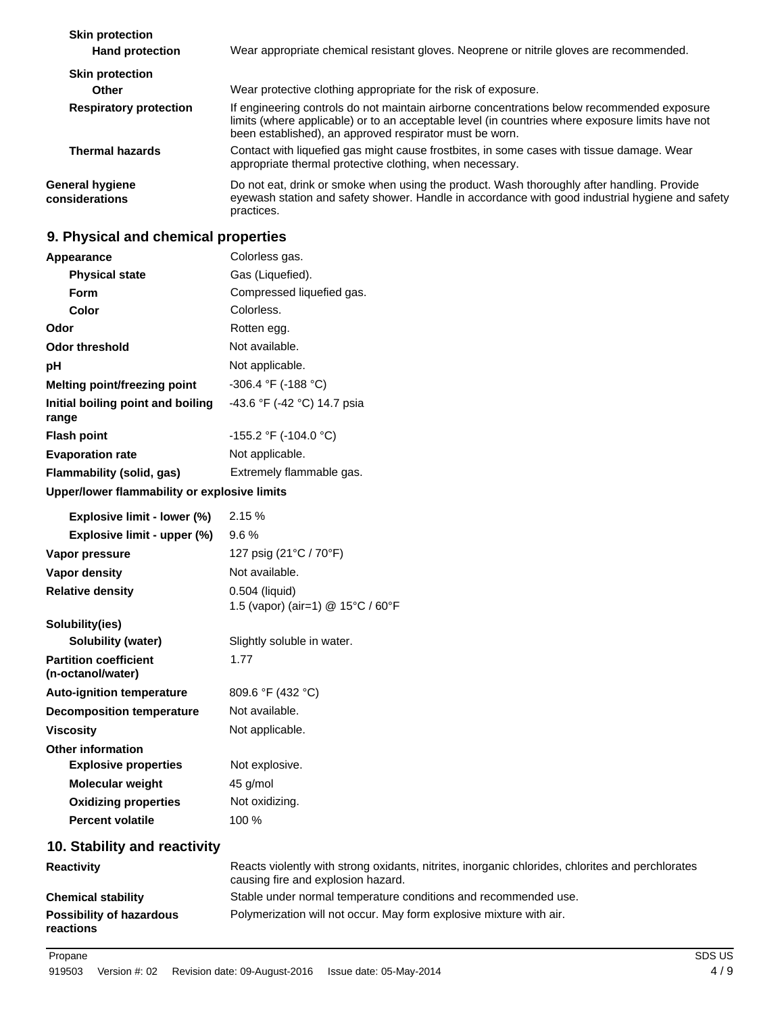| <b>Skin protection</b><br><b>Hand protection</b> | Wear appropriate chemical resistant gloves. Neoprene or nitrile gloves are recommended.                                                                                                                                                                   |
|--------------------------------------------------|-----------------------------------------------------------------------------------------------------------------------------------------------------------------------------------------------------------------------------------------------------------|
| <b>Skin protection</b><br>Other                  | Wear protective clothing appropriate for the risk of exposure.                                                                                                                                                                                            |
| <b>Respiratory protection</b>                    | If engineering controls do not maintain airborne concentrations below recommended exposure<br>limits (where applicable) or to an acceptable level (in countries where exposure limits have not<br>been established), an approved respirator must be worn. |
| <b>Thermal hazards</b>                           | Contact with liquefied gas might cause frostbites, in some cases with tissue damage. Wear<br>appropriate thermal protective clothing, when necessary.                                                                                                     |
| <b>General hygiene</b><br>considerations         | Do not eat, drink or smoke when using the product. Wash thoroughly after handling. Provide<br>eyewash station and safety shower. Handle in accordance with good industrial hygiene and safety<br>practices.                                               |

# **9. Physical and chemical properties**

| Appearance                                        | Colorless gas.                                                                                                                         |
|---------------------------------------------------|----------------------------------------------------------------------------------------------------------------------------------------|
| <b>Physical state</b>                             | Gas (Liquefied).                                                                                                                       |
| Form                                              | Compressed liquefied gas.                                                                                                              |
| Color                                             | Colorless.                                                                                                                             |
| Odor                                              | Rotten egg.                                                                                                                            |
| <b>Odor threshold</b>                             | Not available.                                                                                                                         |
| рH                                                | Not applicable.                                                                                                                        |
| Melting point/freezing point                      | -306.4 °F (-188 °C)                                                                                                                    |
| Initial boiling point and boiling<br>range        | -43.6 °F (-42 °C) 14.7 psia                                                                                                            |
| <b>Flash point</b>                                | -155.2 °F (-104.0 °C)                                                                                                                  |
| <b>Evaporation rate</b>                           | Not applicable.                                                                                                                        |
| Flammability (solid, gas)                         | Extremely flammable gas.                                                                                                               |
| Upper/lower flammability or explosive limits      |                                                                                                                                        |
| Explosive limit - lower (%)                       | 2.15 %                                                                                                                                 |
| Explosive limit - upper (%)                       | 9.6%                                                                                                                                   |
| Vapor pressure                                    | 127 psig (21°C / 70°F)                                                                                                                 |
| Vapor density                                     | Not available.                                                                                                                         |
| <b>Relative density</b>                           | 0.504 (liquid)<br>1.5 (vapor) (air=1) @ 15°C / 60°F                                                                                    |
| Solubility(ies)                                   |                                                                                                                                        |
| <b>Solubility (water)</b>                         | Slightly soluble in water.                                                                                                             |
| <b>Partition coefficient</b><br>(n-octanol/water) | 1.77                                                                                                                                   |
| <b>Auto-ignition temperature</b>                  | 809.6 °F (432 °C)                                                                                                                      |
| <b>Decomposition temperature</b>                  | Not available.                                                                                                                         |
| <b>Viscosity</b>                                  | Not applicable.                                                                                                                        |
| <b>Other information</b>                          |                                                                                                                                        |
| <b>Explosive properties</b>                       | Not explosive.                                                                                                                         |
| Molecular weight                                  | 45 g/mol                                                                                                                               |
| <b>Oxidizing properties</b>                       | Not oxidizing.                                                                                                                         |
| <b>Percent volatile</b>                           | 100 %                                                                                                                                  |
| 10. Stability and reactivity                      |                                                                                                                                        |
| <b>Reactivity</b>                                 | Reacts violently with strong oxidants, nitrites, inorganic chlorides, chlorites and perchlorates<br>causing fire and explosion hazard. |
| <b>Chemical stability</b>                         | Stable under normal temperature conditions and recommended use.                                                                        |
| <b>Possibility of hazardous</b><br>reactions      | Polymerization will not occur. May form explosive mixture with air.                                                                    |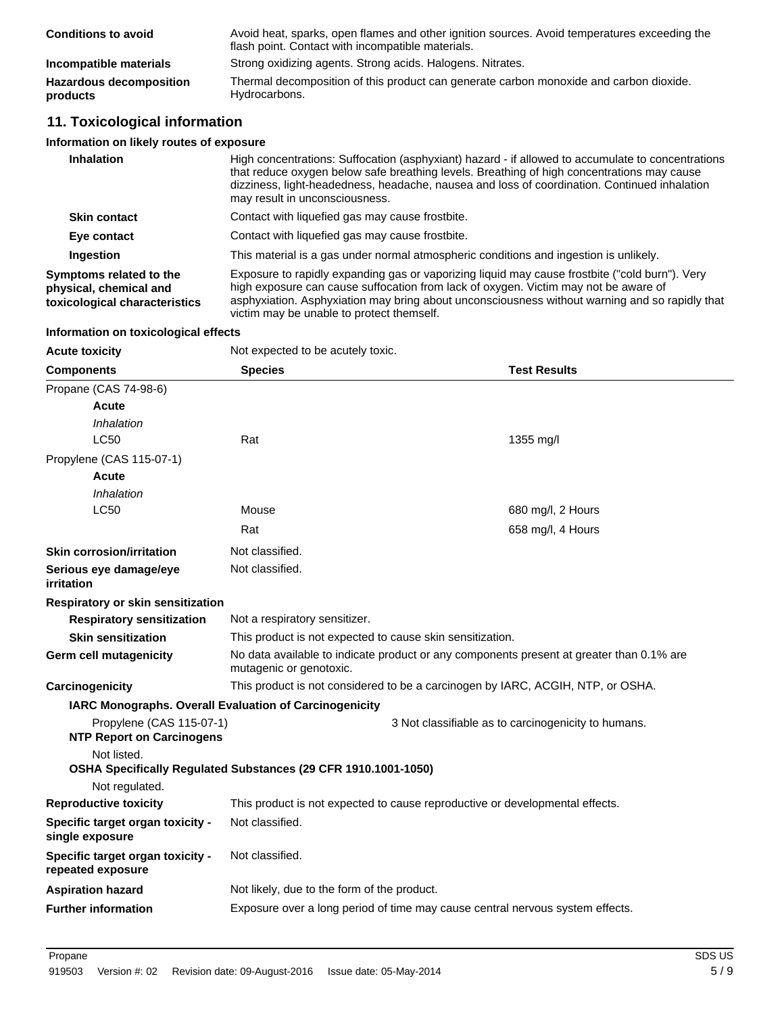| <b>Conditions to avoid</b>                 | Avoid heat, sparks, open flames and other ignition sources. Avoid temperatures exceeding the<br>flash point. Contact with incompatible materials. |
|--------------------------------------------|---------------------------------------------------------------------------------------------------------------------------------------------------|
| Incompatible materials                     | Strong oxidizing agents. Strong acids. Halogens. Nitrates.                                                                                        |
| <b>Hazardous decomposition</b><br>products | Thermal decomposition of this product can generate carbon monoxide and carbon dioxide.<br>Hydrocarbons.                                           |

# **11. Toxicological information**

### **Information on likely routes of exposure**

| Inhalation                                                                         | High concentrations: Suffocation (asphyxiant) hazard - if allowed to accumulate to concentrations<br>that reduce oxygen below safe breathing levels. Breathing of high concentrations may cause<br>dizziness, light-headedness, headache, nausea and loss of coordination. Continued inhalation<br>may result in unconsciousness.    |  |
|------------------------------------------------------------------------------------|--------------------------------------------------------------------------------------------------------------------------------------------------------------------------------------------------------------------------------------------------------------------------------------------------------------------------------------|--|
| <b>Skin contact</b>                                                                | Contact with liquefied gas may cause frostbite.                                                                                                                                                                                                                                                                                      |  |
| Eye contact                                                                        | Contact with liquefied gas may cause frostbite.                                                                                                                                                                                                                                                                                      |  |
| Ingestion                                                                          | This material is a gas under normal atmospheric conditions and ingestion is unlikely.                                                                                                                                                                                                                                                |  |
| Symptoms related to the<br>physical, chemical and<br>toxicological characteristics | Exposure to rapidly expanding gas or vaporizing liquid may cause frostbite ("cold burn"). Very<br>high exposure can cause suffocation from lack of oxygen. Victim may not be aware of<br>asphyxiation. Asphyxiation may bring about unconsciousness without warning and so rapidly that<br>victim may be unable to protect themself. |  |

### **Information on toxicological effects**

| <b>Acute toxicity</b>                                        | Not expected to be acutely toxic.                                                                                   |  |                                                     |
|--------------------------------------------------------------|---------------------------------------------------------------------------------------------------------------------|--|-----------------------------------------------------|
| <b>Components</b>                                            | <b>Species</b>                                                                                                      |  | <b>Test Results</b>                                 |
| Propane (CAS 74-98-6)                                        |                                                                                                                     |  |                                                     |
| Acute                                                        |                                                                                                                     |  |                                                     |
| Inhalation                                                   |                                                                                                                     |  |                                                     |
| <b>LC50</b>                                                  | Rat                                                                                                                 |  | 1355 mg/l                                           |
| Propylene (CAS 115-07-1)                                     |                                                                                                                     |  |                                                     |
| <b>Acute</b>                                                 |                                                                                                                     |  |                                                     |
| Inhalation                                                   |                                                                                                                     |  |                                                     |
| <b>LC50</b>                                                  | Mouse                                                                                                               |  | 680 mg/l, 2 Hours                                   |
|                                                              | Rat                                                                                                                 |  | 658 mg/l, 4 Hours                                   |
| <b>Skin corrosion/irritation</b>                             | Not classified.                                                                                                     |  |                                                     |
| Serious eye damage/eye<br>irritation                         | Not classified.                                                                                                     |  |                                                     |
| Respiratory or skin sensitization                            |                                                                                                                     |  |                                                     |
| <b>Respiratory sensitization</b>                             | Not a respiratory sensitizer.                                                                                       |  |                                                     |
| <b>Skin sensitization</b>                                    | This product is not expected to cause skin sensitization.                                                           |  |                                                     |
| <b>Germ cell mutagenicity</b>                                | No data available to indicate product or any components present at greater than 0.1% are<br>mutagenic or genotoxic. |  |                                                     |
| Carcinogenicity                                              | This product is not considered to be a carcinogen by IARC, ACGIH, NTP, or OSHA.                                     |  |                                                     |
|                                                              | IARC Monographs. Overall Evaluation of Carcinogenicity                                                              |  |                                                     |
| Propylene (CAS 115-07-1)<br><b>NTP Report on Carcinogens</b> |                                                                                                                     |  | 3 Not classifiable as to carcinogenicity to humans. |
| Not listed.                                                  |                                                                                                                     |  |                                                     |
|                                                              | OSHA Specifically Regulated Substances (29 CFR 1910.1001-1050)                                                      |  |                                                     |
| Not regulated.                                               |                                                                                                                     |  |                                                     |
| <b>Reproductive toxicity</b>                                 | This product is not expected to cause reproductive or developmental effects.                                        |  |                                                     |
| Specific target organ toxicity -<br>single exposure          | Not classified.                                                                                                     |  |                                                     |
| Specific target organ toxicity -<br>repeated exposure        | Not classified.                                                                                                     |  |                                                     |
| <b>Aspiration hazard</b>                                     | Not likely, due to the form of the product.                                                                         |  |                                                     |
| <b>Further information</b>                                   | Exposure over a long period of time may cause central nervous system effects.                                       |  |                                                     |
|                                                              |                                                                                                                     |  |                                                     |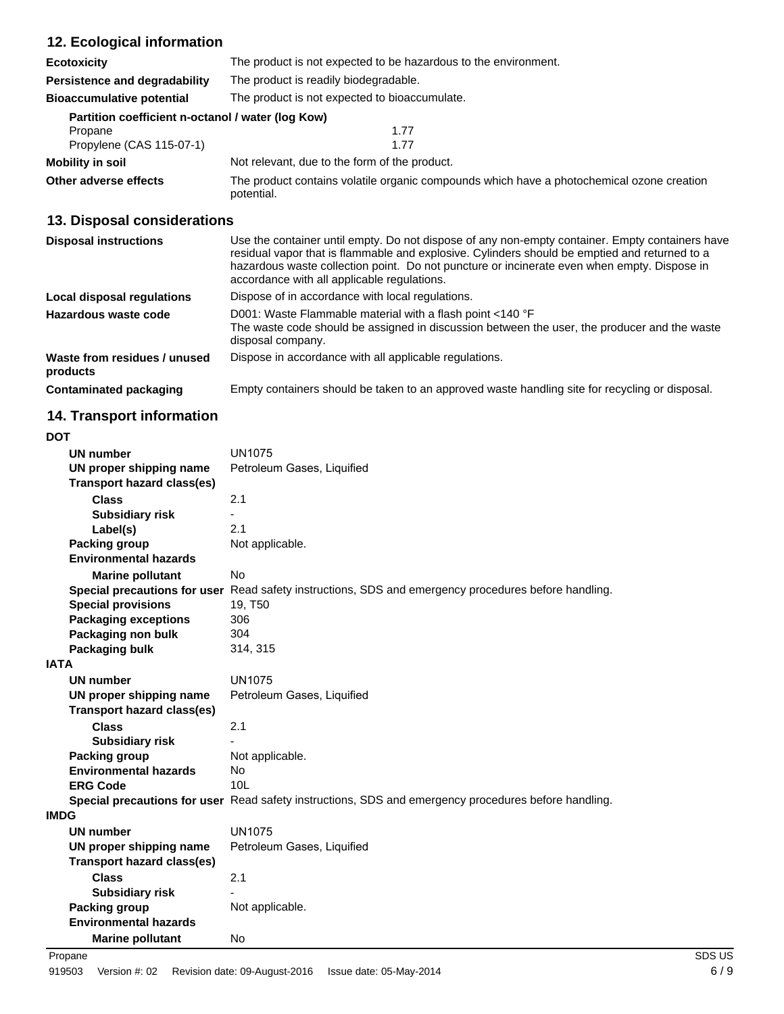# **12. Ecological information**

| <b>Ecotoxicity</b>                                | The product is not expected to be hazardous to the environment.                                         |  |  |
|---------------------------------------------------|---------------------------------------------------------------------------------------------------------|--|--|
| Persistence and degradability                     | The product is readily biodegradable.                                                                   |  |  |
| <b>Bioaccumulative potential</b>                  | The product is not expected to bioaccumulate.                                                           |  |  |
| Partition coefficient n-octanol / water (log Kow) |                                                                                                         |  |  |
| Propane                                           | 1.77                                                                                                    |  |  |
| Propylene (CAS 115-07-1)                          | 1.77                                                                                                    |  |  |
| <b>Mobility in soil</b>                           | Not relevant, due to the form of the product.                                                           |  |  |
| Other adverse effects                             | The product contains volatile organic compounds which have a photochemical ozone creation<br>potential. |  |  |

# **13. Disposal considerations**

| <b>Disposal instructions</b>             | Use the container until empty. Do not dispose of any non-empty container. Empty containers have<br>residual vapor that is flammable and explosive. Cylinders should be emptied and returned to a<br>hazardous waste collection point. Do not puncture or incinerate even when empty. Dispose in<br>accordance with all applicable regulations. |  |  |
|------------------------------------------|------------------------------------------------------------------------------------------------------------------------------------------------------------------------------------------------------------------------------------------------------------------------------------------------------------------------------------------------|--|--|
| Local disposal regulations               | Dispose of in accordance with local regulations.                                                                                                                                                                                                                                                                                               |  |  |
| Hazardous waste code                     | D001: Waste Flammable material with a flash point <140 °F<br>The waste code should be assigned in discussion between the user, the producer and the waste<br>disposal company.                                                                                                                                                                 |  |  |
| Waste from residues / unused<br>products | Dispose in accordance with all applicable regulations.                                                                                                                                                                                                                                                                                         |  |  |
| Contaminated packaging                   | Empty containers should be taken to an approved waste handling site for recycling or disposal.                                                                                                                                                                                                                                                 |  |  |

### **14. Transport information**

| <b>DOT</b>                        |                                                                                                      |  |  |
|-----------------------------------|------------------------------------------------------------------------------------------------------|--|--|
| <b>UN number</b>                  | <b>UN1075</b>                                                                                        |  |  |
| UN proper shipping name           | Petroleum Gases, Liquified                                                                           |  |  |
| <b>Transport hazard class(es)</b> |                                                                                                      |  |  |
| <b>Class</b>                      | 2.1                                                                                                  |  |  |
| <b>Subsidiary risk</b>            |                                                                                                      |  |  |
| Label(s)                          | 2.1                                                                                                  |  |  |
| Packing group                     | Not applicable.                                                                                      |  |  |
| <b>Environmental hazards</b>      |                                                                                                      |  |  |
| <b>Marine pollutant</b>           | <b>No</b>                                                                                            |  |  |
|                                   | Special precautions for user Read safety instructions, SDS and emergency procedures before handling. |  |  |
| <b>Special provisions</b>         | 19, T50                                                                                              |  |  |
| <b>Packaging exceptions</b>       | 306                                                                                                  |  |  |
| Packaging non bulk                | 304                                                                                                  |  |  |
| Packaging bulk                    | 314, 315                                                                                             |  |  |
| <b>IATA</b>                       |                                                                                                      |  |  |
| <b>UN number</b>                  | <b>UN1075</b>                                                                                        |  |  |
| UN proper shipping name           | Petroleum Gases, Liquified                                                                           |  |  |
| <b>Transport hazard class(es)</b> |                                                                                                      |  |  |
| <b>Class</b>                      | 2.1                                                                                                  |  |  |
| <b>Subsidiary risk</b>            |                                                                                                      |  |  |
| Packing group                     | Not applicable.                                                                                      |  |  |
| <b>Environmental hazards</b>      | <b>No</b>                                                                                            |  |  |
| <b>ERG Code</b>                   | 10 <sup>1</sup>                                                                                      |  |  |
|                                   | Special precautions for user Read safety instructions, SDS and emergency procedures before handling. |  |  |
| <b>IMDG</b>                       |                                                                                                      |  |  |
| <b>UN number</b>                  | <b>UN1075</b>                                                                                        |  |  |
| UN proper shipping name           | Petroleum Gases, Liquified                                                                           |  |  |
| <b>Transport hazard class(es)</b> |                                                                                                      |  |  |
| <b>Class</b>                      | 2.1                                                                                                  |  |  |
| <b>Subsidiary risk</b>            |                                                                                                      |  |  |
| <b>Packing group</b>              | Not applicable.                                                                                      |  |  |
| <b>Environmental hazards</b>      |                                                                                                      |  |  |
|                                   |                                                                                                      |  |  |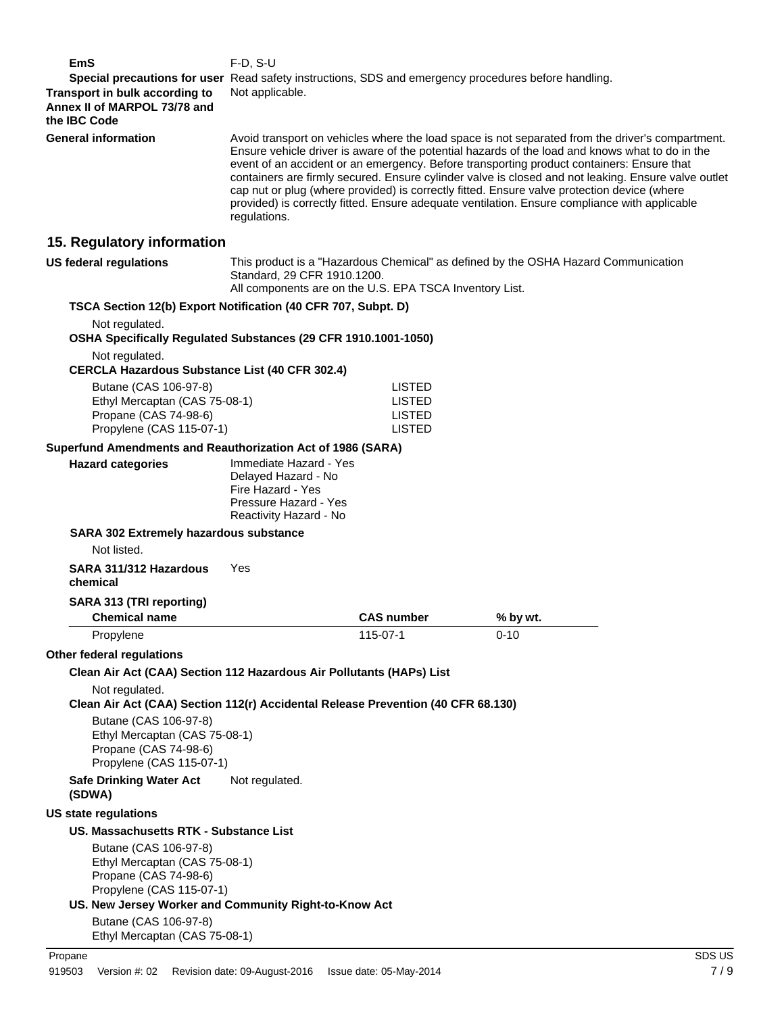| EmS<br>Transport in bulk according to<br>Annex II of MARPOL 73/78 and<br>the IBC Code                       | $F-D$ , S-U<br>Special precautions for user Read safety instructions, SDS and emergency procedures before handling.<br>Not applicable.                                                                                                                                                                                                                                                                                                                                                                                                                                                                                  |                                                                  |            |  |
|-------------------------------------------------------------------------------------------------------------|-------------------------------------------------------------------------------------------------------------------------------------------------------------------------------------------------------------------------------------------------------------------------------------------------------------------------------------------------------------------------------------------------------------------------------------------------------------------------------------------------------------------------------------------------------------------------------------------------------------------------|------------------------------------------------------------------|------------|--|
| <b>General information</b>                                                                                  | Avoid transport on vehicles where the load space is not separated from the driver's compartment.<br>Ensure vehicle driver is aware of the potential hazards of the load and knows what to do in the<br>event of an accident or an emergency. Before transporting product containers: Ensure that<br>containers are firmly secured. Ensure cylinder valve is closed and not leaking. Ensure valve outlet<br>cap nut or plug (where provided) is correctly fitted. Ensure valve protection device (where<br>provided) is correctly fitted. Ensure adequate ventilation. Ensure compliance with applicable<br>regulations. |                                                                  |            |  |
| 15. Regulatory information                                                                                  |                                                                                                                                                                                                                                                                                                                                                                                                                                                                                                                                                                                                                         |                                                                  |            |  |
| <b>US federal regulations</b>                                                                               | This product is a "Hazardous Chemical" as defined by the OSHA Hazard Communication<br>Standard, 29 CFR 1910.1200.<br>All components are on the U.S. EPA TSCA Inventory List.                                                                                                                                                                                                                                                                                                                                                                                                                                            |                                                                  |            |  |
| TSCA Section 12(b) Export Notification (40 CFR 707, Subpt. D)                                               |                                                                                                                                                                                                                                                                                                                                                                                                                                                                                                                                                                                                                         |                                                                  |            |  |
| Not regulated.<br>OSHA Specifically Regulated Substances (29 CFR 1910.1001-1050)                            |                                                                                                                                                                                                                                                                                                                                                                                                                                                                                                                                                                                                                         |                                                                  |            |  |
| Not regulated.<br><b>CERCLA Hazardous Substance List (40 CFR 302.4)</b>                                     |                                                                                                                                                                                                                                                                                                                                                                                                                                                                                                                                                                                                                         |                                                                  |            |  |
| Butane (CAS 106-97-8)<br>Ethyl Mercaptan (CAS 75-08-1)<br>Propane (CAS 74-98-6)<br>Propylene (CAS 115-07-1) |                                                                                                                                                                                                                                                                                                                                                                                                                                                                                                                                                                                                                         | <b>LISTED</b><br><b>LISTED</b><br><b>LISTED</b><br><b>LISTED</b> |            |  |
| Superfund Amendments and Reauthorization Act of 1986 (SARA)                                                 |                                                                                                                                                                                                                                                                                                                                                                                                                                                                                                                                                                                                                         |                                                                  |            |  |
| <b>Hazard categories</b>                                                                                    | Immediate Hazard - Yes<br>Delayed Hazard - No<br>Fire Hazard - Yes<br>Pressure Hazard - Yes<br>Reactivity Hazard - No                                                                                                                                                                                                                                                                                                                                                                                                                                                                                                   |                                                                  |            |  |
| <b>SARA 302 Extremely hazardous substance</b><br>Not listed.                                                |                                                                                                                                                                                                                                                                                                                                                                                                                                                                                                                                                                                                                         |                                                                  |            |  |
| SARA 311/312 Hazardous<br>chemical                                                                          | Yes                                                                                                                                                                                                                                                                                                                                                                                                                                                                                                                                                                                                                     |                                                                  |            |  |
| SARA 313 (TRI reporting)<br><b>Chemical name</b>                                                            |                                                                                                                                                                                                                                                                                                                                                                                                                                                                                                                                                                                                                         | <b>CAS number</b>                                                | $%$ by wt. |  |
| Propylene                                                                                                   |                                                                                                                                                                                                                                                                                                                                                                                                                                                                                                                                                                                                                         | 115-07-1                                                         | $0 - 10$   |  |
| Other federal regulations                                                                                   |                                                                                                                                                                                                                                                                                                                                                                                                                                                                                                                                                                                                                         |                                                                  |            |  |
| Clean Air Act (CAA) Section 112 Hazardous Air Pollutants (HAPs) List                                        |                                                                                                                                                                                                                                                                                                                                                                                                                                                                                                                                                                                                                         |                                                                  |            |  |
| Not regulated.<br>Clean Air Act (CAA) Section 112(r) Accidental Release Prevention (40 CFR 68.130)          |                                                                                                                                                                                                                                                                                                                                                                                                                                                                                                                                                                                                                         |                                                                  |            |  |
| Butane (CAS 106-97-8)<br>Ethyl Mercaptan (CAS 75-08-1)<br>Propane (CAS 74-98-6)<br>Propylene (CAS 115-07-1) |                                                                                                                                                                                                                                                                                                                                                                                                                                                                                                                                                                                                                         |                                                                  |            |  |
| <b>Safe Drinking Water Act</b><br>(SDWA)                                                                    | Not regulated.                                                                                                                                                                                                                                                                                                                                                                                                                                                                                                                                                                                                          |                                                                  |            |  |
| <b>US state regulations</b>                                                                                 |                                                                                                                                                                                                                                                                                                                                                                                                                                                                                                                                                                                                                         |                                                                  |            |  |
| US. Massachusetts RTK - Substance List                                                                      |                                                                                                                                                                                                                                                                                                                                                                                                                                                                                                                                                                                                                         |                                                                  |            |  |
| Butane (CAS 106-97-8)<br>Ethyl Mercaptan (CAS 75-08-1)<br>Propane (CAS 74-98-6)<br>Propylene (CAS 115-07-1) |                                                                                                                                                                                                                                                                                                                                                                                                                                                                                                                                                                                                                         |                                                                  |            |  |
| US. New Jersey Worker and Community Right-to-Know Act                                                       |                                                                                                                                                                                                                                                                                                                                                                                                                                                                                                                                                                                                                         |                                                                  |            |  |
| Butane (CAS 106-97-8)<br>Ethyl Mercaptan (CAS 75-08-1)                                                      |                                                                                                                                                                                                                                                                                                                                                                                                                                                                                                                                                                                                                         |                                                                  |            |  |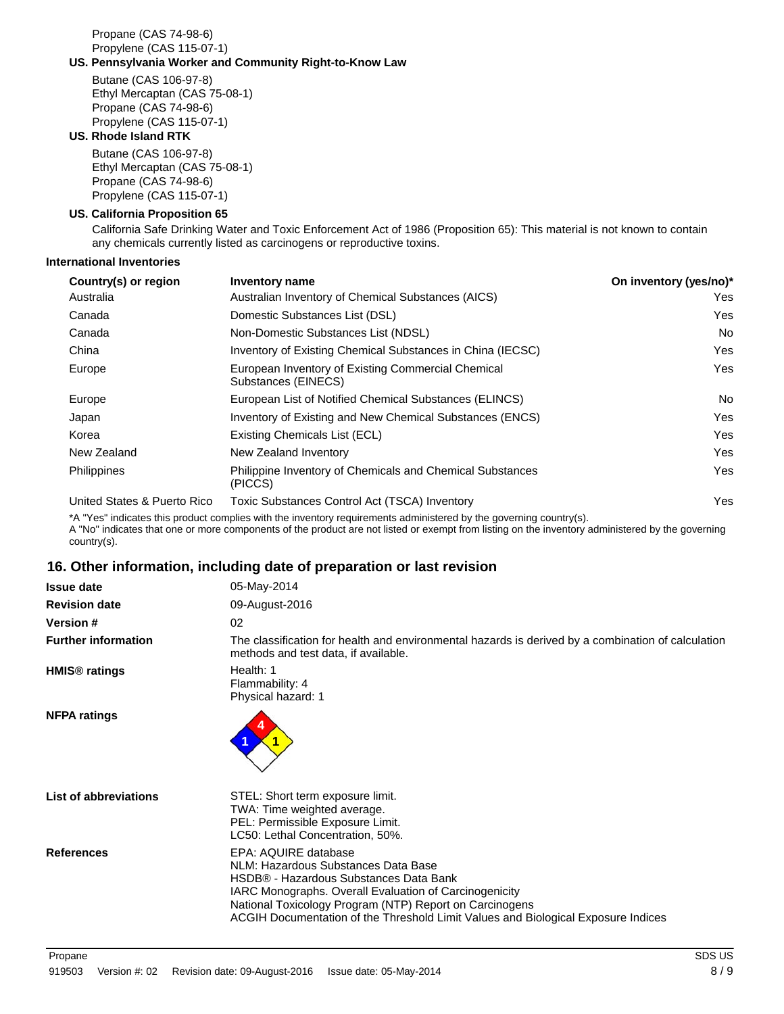Propane (CAS 74-98-6) Propylene (CAS 115-07-1)

#### **US. Pennsylvania Worker and Community Right-to-Know Law**

Butane (CAS 106-97-8) Ethyl Mercaptan (CAS 75-08-1) Propane (CAS 74-98-6) Propylene (CAS 115-07-1)

### **US. Rhode Island RTK**

Butane (CAS 106-97-8) Ethyl Mercaptan (CAS 75-08-1) Propane (CAS 74-98-6) Propylene (CAS 115-07-1)

#### **US. California Proposition 65**

California Safe Drinking Water and Toxic Enforcement Act of 1986 (Proposition 65): This material is not known to contain any chemicals currently listed as carcinogens or reproductive toxins.

#### **International Inventories**

| Country(s) or region        | Inventory name                                                              | On inventory (yes/no)* |
|-----------------------------|-----------------------------------------------------------------------------|------------------------|
| Australia                   | Australian Inventory of Chemical Substances (AICS)                          | Yes                    |
| Canada                      | Domestic Substances List (DSL)                                              | Yes                    |
| Canada                      | Non-Domestic Substances List (NDSL)                                         | No                     |
| China                       | Inventory of Existing Chemical Substances in China (IECSC)                  | Yes                    |
| Europe                      | European Inventory of Existing Commercial Chemical<br>Substances (EINECS)   | Yes                    |
| Europe                      | European List of Notified Chemical Substances (ELINCS)                      | No                     |
| Japan                       | Inventory of Existing and New Chemical Substances (ENCS)                    | Yes                    |
| Korea                       | Existing Chemicals List (ECL)                                               | Yes                    |
| New Zealand                 | New Zealand Inventory                                                       | Yes                    |
| <b>Philippines</b>          | <b>Philippine Inventory of Chemicals and Chemical Substances</b><br>(PICCS) | Yes                    |
| United States & Puerto Rico | Toxic Substances Control Act (TSCA) Inventory                               | Yes                    |

\*A "Yes" indicates this product complies with the inventory requirements administered by the governing country(s). A "No" indicates that one or more components of the product are not listed or exempt from listing on the inventory administered by the governing country(s).

### **16. Other information, including date of preparation or last revision**

| 05-May-2014                                                                                                                                                                                                                                                                                                     |  |  |
|-----------------------------------------------------------------------------------------------------------------------------------------------------------------------------------------------------------------------------------------------------------------------------------------------------------------|--|--|
| 09-August-2016                                                                                                                                                                                                                                                                                                  |  |  |
| 02                                                                                                                                                                                                                                                                                                              |  |  |
| The classification for health and environmental hazards is derived by a combination of calculation<br>methods and test data, if available.                                                                                                                                                                      |  |  |
| Health: 1<br>Flammability: 4<br>Physical hazard: 1                                                                                                                                                                                                                                                              |  |  |
|                                                                                                                                                                                                                                                                                                                 |  |  |
| STEL: Short term exposure limit.<br>TWA: Time weighted average.<br>PEL: Permissible Exposure Limit.<br>LC50: Lethal Concentration, 50%.                                                                                                                                                                         |  |  |
| EPA: AQUIRE database<br>NLM: Hazardous Substances Data Base<br>HSDB® - Hazardous Substances Data Bank<br>IARC Monographs. Overall Evaluation of Carcinogenicity<br>National Toxicology Program (NTP) Report on Carcinogens<br>ACGIH Documentation of the Threshold Limit Values and Biological Exposure Indices |  |  |
|                                                                                                                                                                                                                                                                                                                 |  |  |